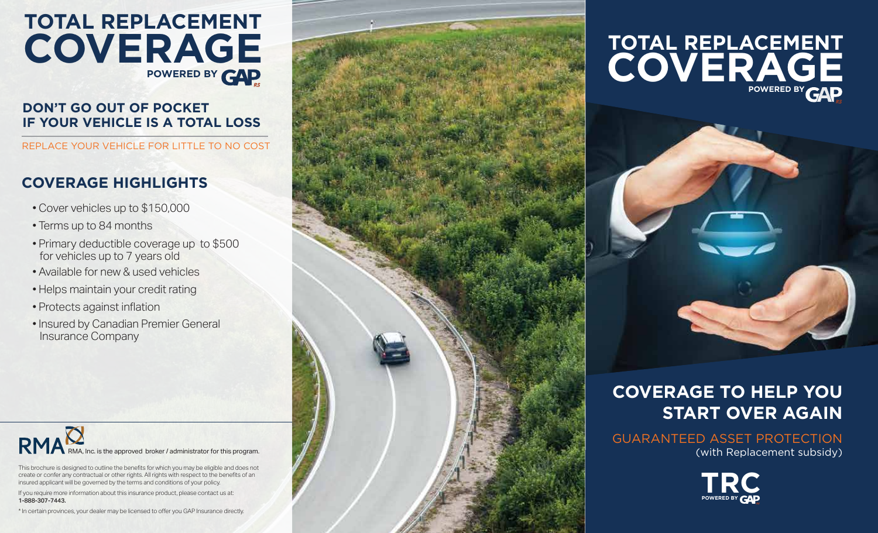# **TOTAL REPLACEMENT COVERAGE POWERED BY GAD**

#### **DON'T GO OUT OF POCKET IF YOUR VEHICLE IS A TOTAL LOSS**

REPLACE YOUR VEHICLE FOR LITTLE TO NO COST

#### **COVERAGE HIGHLIGHTS**

- Cover vehicles up to \$150,000
- Terms up to 84 months
- Primary deductible coverage up to \$500 for vehicles up to 7 years old
- Available for new & used vehicles
- Helps maintain your credit rating
- Protects against inflation
- Insured by Canadian Premier General Insurance Company



This brochure is designed to outline the benefits for which you may be eligible and does not create or confer any contractual or other rights. All rights with respect to the benefits of an insured applicant will be governed by the terms and conditions of your policy.

If you require more information about this insurance product, please contact us at: 1-888-307-7443.

\* In certain provinces, your dealer may be licensed to offer you GAP Insurance directly.



## **TOTAL REPLACEMENT COVERAGE POWERED BY CAD**

### **COVERAGE TO HELP YOU START OVER AGAIN**

#### GUARANTEED ASSET PROTECTION (with Replacement subsidy)